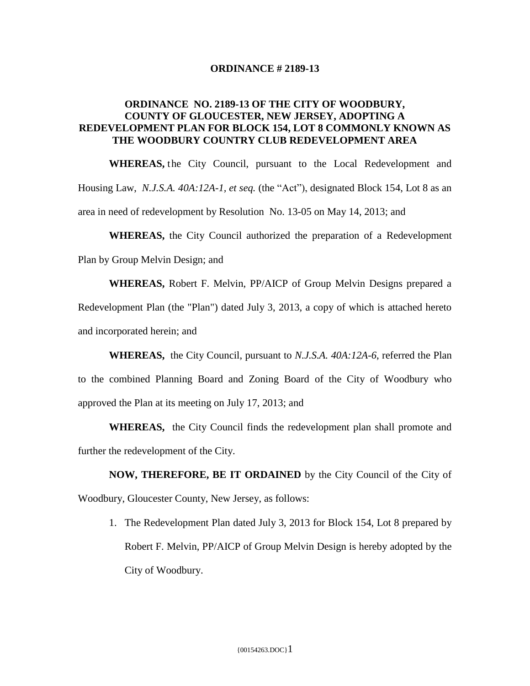## **ORDINANCE # 2189-13**

## **ORDINANCE NO. 2189-13 OF THE CITY OF WOODBURY, COUNTY OF GLOUCESTER, NEW JERSEY, ADOPTING A REDEVELOPMENT PLAN FOR BLOCK 154, LOT 8 COMMONLY KNOWN AS THE WOODBURY COUNTRY CLUB REDEVELOPMENT AREA**

**WHEREAS,** the City Council, pursuant to the Local Redevelopment and Housing Law, *N.J.S.A. 40A:12A-1, et seq.* (the "Act"), designated Block 154, Lot 8 as an area in need of redevelopment by Resolution No. 13-05 on May 14, 2013; and

**WHEREAS,** the City Council authorized the preparation of a Redevelopment Plan by Group Melvin Design; and

**WHEREAS,** Robert F. Melvin, PP/AICP of Group Melvin Designs prepared a Redevelopment Plan (the "Plan") dated July 3, 2013, a copy of which is attached hereto and incorporated herein; and

 **WHEREAS,** the City Council, pursuant to *N.J.S.A. 40A:12A-6*, referred the Plan to the combined Planning Board and Zoning Board of the City of Woodbury who approved the Plan at its meeting on July 17, 2013; and

**WHEREAS,** the City Council finds the redevelopment plan shall promote and further the redevelopment of the City.

**NOW, THEREFORE, BE IT ORDAINED** by the City Council of the City of Woodbury, Gloucester County, New Jersey, as follows:

1. The Redevelopment Plan dated July 3, 2013 for Block 154, Lot 8 prepared by Robert F. Melvin, PP/AICP of Group Melvin Design is hereby adopted by the City of Woodbury.